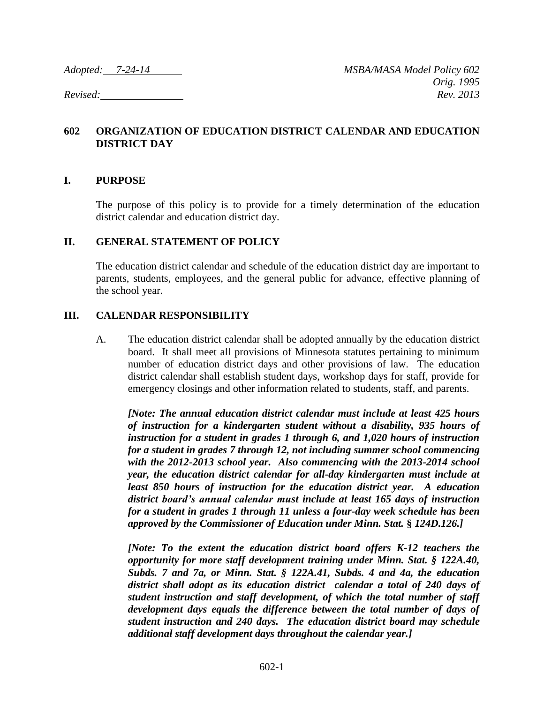## **602 ORGANIZATION OF EDUCATION DISTRICT CALENDAR AND EDUCATION DISTRICT DAY**

#### **I. PURPOSE**

The purpose of this policy is to provide for a timely determination of the education district calendar and education district day.

#### **II. GENERAL STATEMENT OF POLICY**

The education district calendar and schedule of the education district day are important to parents, students, employees, and the general public for advance, effective planning of the school year.

### **III. CALENDAR RESPONSIBILITY**

A. The education district calendar shall be adopted annually by the education district board. It shall meet all provisions of Minnesota statutes pertaining to minimum number of education district days and other provisions of law. The education district calendar shall establish student days, workshop days for staff, provide for emergency closings and other information related to students, staff, and parents.

*[Note: The annual education district calendar must include at least 425 hours of instruction for a kindergarten student without a disability, 935 hours of instruction for a student in grades 1 through 6, and 1,020 hours of instruction for a student in grades 7 through 12, not including summer school commencing with the 2012-2013 school year. Also commencing with the 2013-2014 school year, the education district calendar for all-day kindergarten must include at least 850 hours of instruction for the education district year. A education district board's annual calendar must include at least 165 days of instruction for a student in grades 1 through 11 unless a four-day week schedule has been approved by the Commissioner of Education under Minn. Stat.* **§** *124D.126.]*

*[Note: To the extent the education district board offers K-12 teachers the opportunity for more staff development training under Minn. Stat. § 122A.40, Subds. 7 and 7a, or Minn. Stat. § 122A.41, Subds. 4 and 4a, the education district shall adopt as its education district calendar a total of 240 days of student instruction and staff development, of which the total number of staff development days equals the difference between the total number of days of student instruction and 240 days. The education district board may schedule additional staff development days throughout the calendar year.]*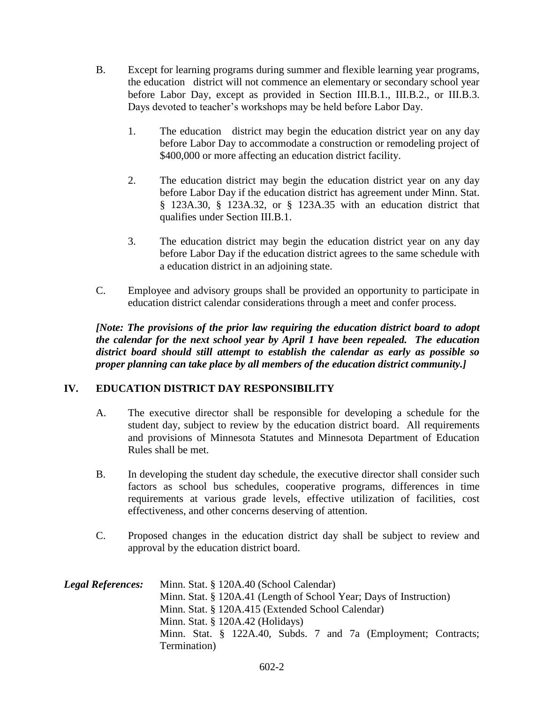- B. Except for learning programs during summer and flexible learning year programs, the education district will not commence an elementary or secondary school year before Labor Day, except as provided in Section III.B.1., III.B.2., or III.B.3. Days devoted to teacher's workshops may be held before Labor Day.
	- 1. The education district may begin the education district year on any day before Labor Day to accommodate a construction or remodeling project of \$400,000 or more affecting an education district facility.
	- 2. The education district may begin the education district year on any day before Labor Day if the education district has agreement under Minn. Stat. § 123A.30, § 123A.32, or § 123A.35 with an education district that qualifies under Section III.B.1.
	- 3. The education district may begin the education district year on any day before Labor Day if the education district agrees to the same schedule with a education district in an adjoining state.
- C. Employee and advisory groups shall be provided an opportunity to participate in education district calendar considerations through a meet and confer process.

*[Note: The provisions of the prior law requiring the education district board to adopt the calendar for the next school year by April 1 have been repealed. The education district board should still attempt to establish the calendar as early as possible so proper planning can take place by all members of the education district community.]*

# **IV. EDUCATION DISTRICT DAY RESPONSIBILITY**

- A. The executive director shall be responsible for developing a schedule for the student day, subject to review by the education district board. All requirements and provisions of Minnesota Statutes and Minnesota Department of Education Rules shall be met.
- B. In developing the student day schedule, the executive director shall consider such factors as school bus schedules, cooperative programs, differences in time requirements at various grade levels, effective utilization of facilities, cost effectiveness, and other concerns deserving of attention.
- C. Proposed changes in the education district day shall be subject to review and approval by the education district board.

| <b>Legal References:</b> | Minn. Stat. § 120A.40 (School Calendar)                            |
|--------------------------|--------------------------------------------------------------------|
|                          | Minn. Stat. § 120A.41 (Length of School Year; Days of Instruction) |
|                          | Minn. Stat. § 120A.415 (Extended School Calendar)                  |
|                          | Minn. Stat. $\S$ 120A.42 (Holidays)                                |
|                          | Minn. Stat. § 122A.40, Subds. 7 and 7a (Employment; Contracts;     |
|                          | Termination)                                                       |